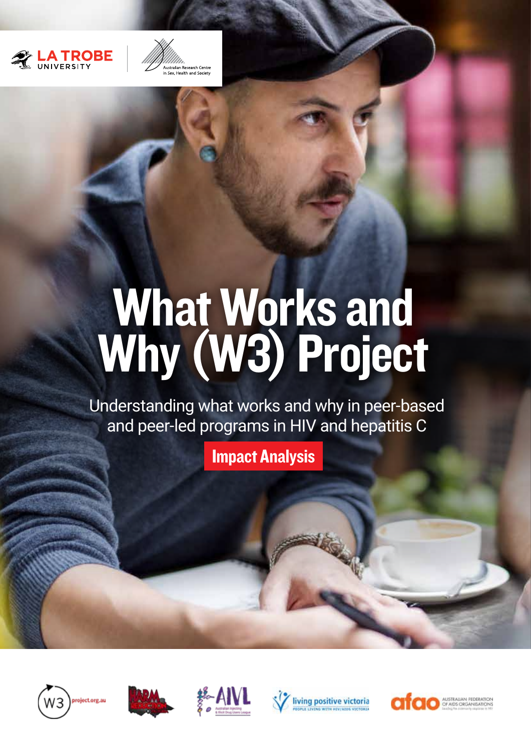



# What Works and Why (W3) Project

Understanding what works and why in peer-based and peer-led programs in HIV and hepatitis C

Impact Analysis









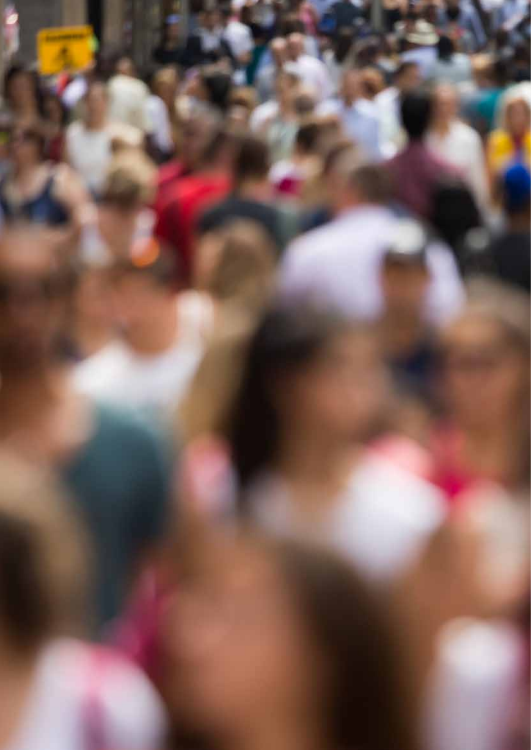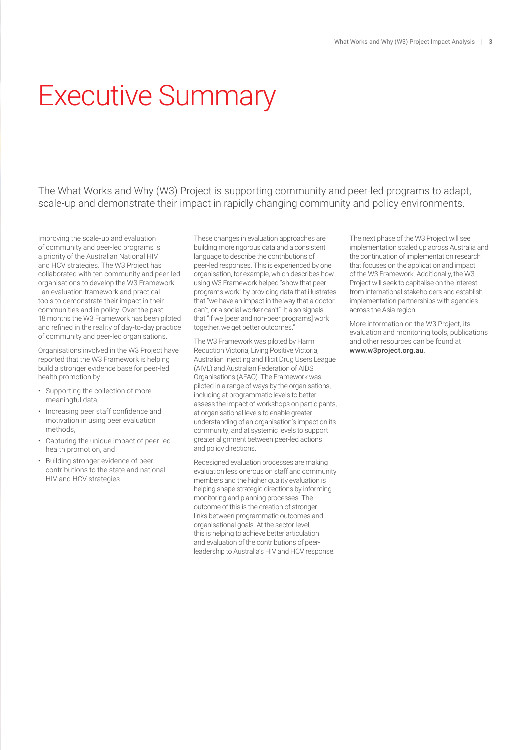# Executive Summary

The What Works and Why (W3) Project is supporting community and peer-led programs to adapt, scale-up and demonstrate their impact in rapidly changing community and policy environments.

Improving the scale-up and evaluation of community and peer-led programs is a priority of the Australian National HIV and HCV strategies. The W3 Project has collaborated with ten community and peer-led organisations to develop the W3 Framework - an evaluation framework and practical tools to demonstrate their impact in their communities and in policy. Over the past 18 months the W3 Framework has been piloted and refined in the reality of day-to-day practice of community and peer-led organisations.

Organisations involved in the W3 Project have reported that the W3 Framework is helping build a stronger evidence base for peer-led health promotion by:

- Supporting the collection of more meaningful data,
- Increasing peer staff confidence and motivation in using peer evaluation methods,
- Capturing the unique impact of peer-led health promotion, and
- Building stronger evidence of peer contributions to the state and national HIV and HCV strategies.

These changes in evaluation approaches are building more rigorous data and a consistent language to describe the contributions of peer-led responses. This is experienced by one organisation, for example, which describes how using W3 Framework helped "show that peer programs work" by providing data that illustrates that "we have an impact in the way that a doctor can't, or a social worker can't". It also signals that "if we [peer and non-peer programs] work together, we get better outcomes."

The W3 Framework was piloted by Harm Reduction Victoria, Living Positive Victoria, Australian Injecting and Illicit Drug Users League (AIVL) and Australian Federation of AIDS Organisations (AFAO). The Framework was piloted in a range of ways by the organisations, including at programmatic levels to better assess the impact of workshops on participants, at organisational levels to enable greater understanding of an organisation's impact on its community; and at systemic levels to support greater alignment between peer-led actions and policy directions.

Redesigned evaluation processes are making evaluation less onerous on staff and community members and the higher quality evaluation is helping shape strategic directions by informing monitoring and planning processes. The outcome of this is the creation of stronger links between programmatic outcomes and organisational goals. At the sector-level, this is helping to achieve better articulation and evaluation of the contributions of peerleadership to Australia's HIV and HCV response.

The next phase of the W3 Project will see implementation scaled up across Australia and the continuation of implementation research that focuses on the application and impact of the W3 Framework. Additionally, the W3 Project will seek to capitalise on the interest from international stakeholders and establish implementation partnerships with agencies across the Asia region.

More information on the W3 Project, its evaluation and monitoring tools, publications and other resources can be found at www.w3project.org.au.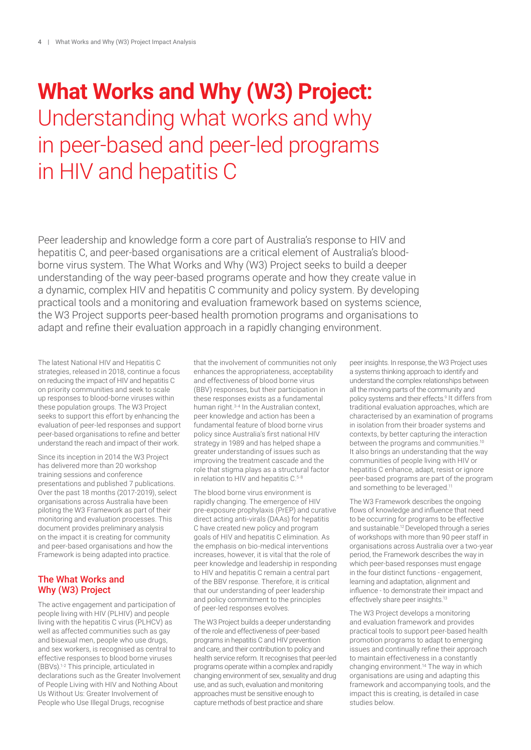# **What Works and Why (W3) Project:**  Understanding what works and why in peer-based and peer-led programs in HIV and hepatitis C

Peer leadership and knowledge form a core part of Australia's response to HIV and hepatitis C, and peer-based organisations are a critical element of Australia's bloodborne virus system. The What Works and Why (W3) Project seeks to build a deeper understanding of the way peer-based programs operate and how they create value in a dynamic, complex HIV and hepatitis C community and policy system. By developing practical tools and a monitoring and evaluation framework based on systems science, the W3 Project supports peer-based health promotion programs and organisations to adapt and refine their evaluation approach in a rapidly changing environment.

The latest National HIV and Hepatitis C strategies, released in 2018, continue a focus on reducing the impact of HIV and hepatitis C on priority communities and seek to scale up responses to blood-borne viruses within these population groups. The W3 Project seeks to support this effort by enhancing the evaluation of peer-led responses and support peer-based organisations to refine and better understand the reach and impact of their work.

Since its inception in 2014 the W3 Project has delivered more than 20 workshop training sessions and conference presentations and published 7 publications. Over the past 18 months (2017-2019), select organisations across Australia have been piloting the W3 Framework as part of their monitoring and evaluation processes. This document provides preliminary analysis on the impact it is creating for community and peer-based organisations and how the Framework is being adapted into practice.

# The What Works and Why (W3) Project

The active engagement and participation of people living with HIV (PLHIV) and people living with the hepatitis C virus (PLHCV) as well as affected communities such as gay and bisexual men, people who use drugs, and sex workers, is recognised as central to effective responses to blood borne viruses (BBVs).1-2 This principle, articulated in declarations such as the Greater Involvement of People Living with HIV and Nothing About Us Without Us: Greater Involvement of People who Use Illegal Drugs, recognise

that the involvement of communities not only enhances the appropriateness, acceptability and effectiveness of blood borne virus (BBV) responses, but their participation in these responses exists as a fundamental human right.<sup>3-4</sup> In the Australian context, peer knowledge and action has been a fundamental feature of blood borne virus policy since Australia's first national HIV strategy in 1989 and has helped shape a greater understanding of issues such as improving the treatment cascade and the role that stigma plays as a structural factor in relation to HIV and hepatitis C.<sup>5-8</sup>

The blood borne virus environment is rapidly changing. The emergence of HIV pre-exposure prophylaxis (PrEP) and curative direct acting anti-virals (DAAs) for hepatitis C have created new policy and program goals of HIV and hepatitis C elimination. As the emphasis on bio-medical interventions increases, however, it is vital that the role of peer knowledge and leadership in responding to HIV and hepatitis C remain a central part of the BBV response. Therefore, it is critical that our understanding of peer leadership and policy commitment to the principles of peer-led responses evolves.

The W3 Project builds a deeper understanding of the role and effectiveness of peer-based programs in hepatitis C and HIV prevention and care, and their contribution to policy and health service reform. It recognises that peer-led programs operate within a complex and rapidly changing environment of sex, sexuality and drug use, and as such, evaluation and monitoring approaches must be sensitive enough to capture methods of best practice and share

peer insights. In response, the W3 Project uses a systems thinking approach to identify and understand the complex relationships between all the moving parts of the community and policy systems and their effects.<sup>9</sup> It differs from traditional evaluation approaches, which are characterised by an examination of programs in isolation from their broader systems and contexts, by better capturing the interaction between the programs and communities.10 It also brings an understanding that the way communities of people living with HIV or hepatitis C enhance, adapt, resist or ignore peer-based programs are part of the program and something to be leveraged.<sup>11</sup>

The W3 Framework describes the ongoing flows of knowledge and influence that need to be occurring for programs to be effective and sustainable.12 Developed through a series of workshops with more than 90 peer staff in organisations across Australia over a two-year period, the Framework describes the way in which peer-based responses must engage in the four distinct functions - engagement, learning and adaptation, alignment and influence - to demonstrate their impact and effectively share peer insights.<sup>13</sup>

The W3 Project develops a monitoring and evaluation framework and provides practical tools to support peer-based health promotion programs to adapt to emerging issues and continually refine their approach to maintain effectiveness in a constantly changing environment.14 The way in which organisations are using and adapting this framework and accompanying tools, and the impact this is creating, is detailed in case studies below.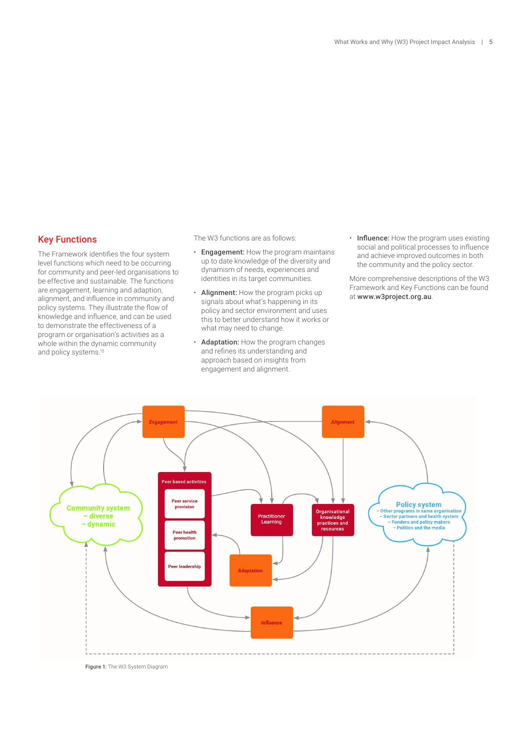## Key Functions

The Framework identifies the four system level functions which need to be occurring for community and peer-led organisations to be effective and sustainable. The functions are engagement, learning and adaption, alignment, and influence in community and policy systems. They illustrate the flow of knowledge and influence, and can be used to demonstrate the effectiveness of a program or organisation's activities as a whole within the dynamic community and policy systems.<sup>15</sup>

The W3 functions are as follows:

- Engagement: How the program maintains up to date knowledge of the diversity and dynamism of needs, experiences and identities in its target communities.
- Alignment: How the program picks up signals about what's happening in its policy and sector environment and uses this to better understand how it works or what may need to change.
- Adaptation: How the program changes and refines its understanding and approach based on insights from engagement and alignment.
- Influence: How the program uses existing social and political processes to influence and achieve improved outcomes in both the community and the policy sector.

More comprehensive descriptions of the W3 Framework and Key Functions can be found at www.w3project.org.au.



Figure 1: The W3 System Diagram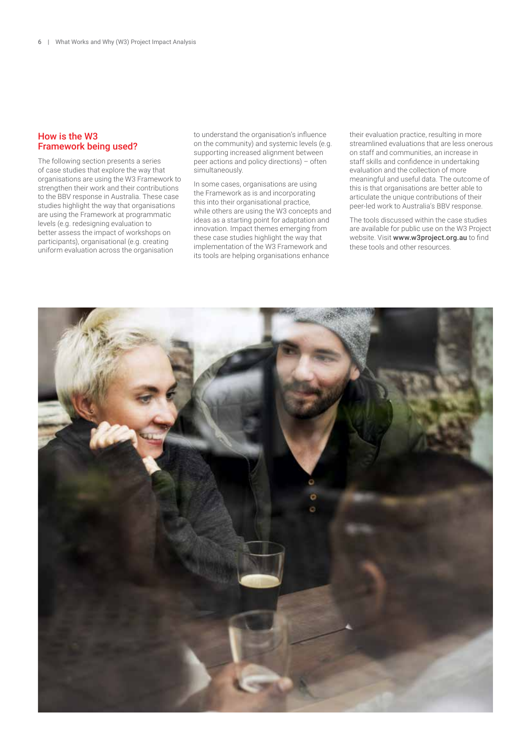### How is the W3 Framework being used?

The following section presents a series of case studies that explore the way that organisations are using the W3 Framework to strengthen their work and their contributions to the BBV response in Australia. These case studies highlight the way that organisations are using the Framework at programmatic levels (e.g. redesigning evaluation to better assess the impact of workshops on participants), organisational (e.g. creating uniform evaluation across the organisation

to understand the organisation's influence on the community) and systemic levels (e.g. supporting increased alignment between peer actions and policy directions) – often simultaneously.

In some cases, organisations are using the Framework as is and incorporating this into their organisational practice, while others are using the W3 concepts and ideas as a starting point for adaptation and innovation. Impact themes emerging from these case studies highlight the way that implementation of the W3 Framework and its tools are helping organisations enhance

their evaluation practice, resulting in more streamlined evaluations that are less onerous on staff and communities, an increase in staff skills and confidence in undertaking evaluation and the collection of more meaningful and useful data. The outcome of this is that organisations are better able to articulate the unique contributions of their peer-led work to Australia's BBV response.

The tools discussed within the case studies are available for public use on the W3 Project website. Visit www.w3project.org.au to find these tools and other resources.

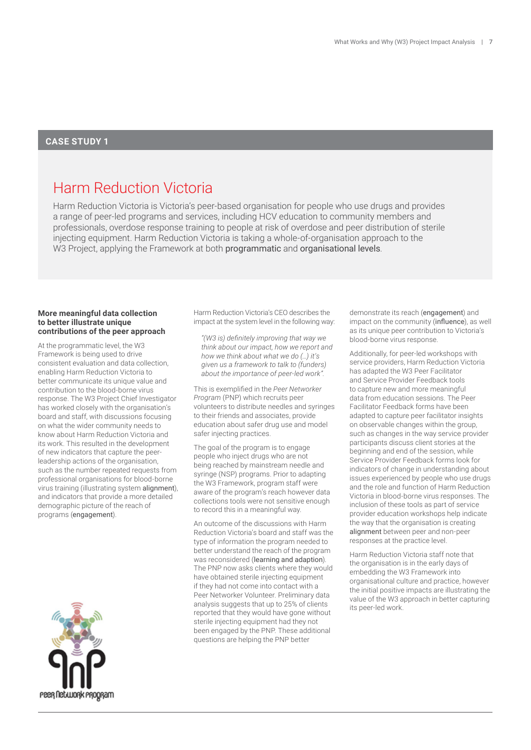# Harm Reduction Victoria

Harm Reduction Victoria is Victoria's peer-based organisation for people who use drugs and provides a range of peer-led programs and services, including HCV education to community members and professionals, overdose response training to people at risk of overdose and peer distribution of sterile injecting equipment. Harm Reduction Victoria is taking a whole-of-organisation approach to the W3 Project, applying the Framework at both programmatic and organisational levels.

#### **More meaningful data collection to better illustrate unique contributions of the peer approach**

At the programmatic level, the W3 Framework is being used to drive consistent evaluation and data collection, enabling Harm Reduction Victoria to better communicate its unique value and contribution to the blood-borne virus response. The W3 Project Chief Investigator has worked closely with the organisation's board and staff, with discussions focusing on what the wider community needs to know about Harm Reduction Victoria and its work. This resulted in the development of new indicators that capture the peerleadership actions of the organisation, such as the number repeated requests from professional organisations for blood-borne virus training (illustrating system alignment), and indicators that provide a more detailed demographic picture of the reach of programs (engagement).



Harm Reduction Victoria's CEO describes the impact at the system level in the following way:

*"(W3 is) definitely improving that way we think about our impact, how we report and how we think about what we do (…) it's given us a framework to talk to (funders) about the importance of peer-led work".*

This is exemplified in the *Peer Networker Program* (PNP) which recruits peer volunteers to distribute needles and syringes to their friends and associates, provide education about safer drug use and model safer injecting practices.

The goal of the program is to engage people who inject drugs who are not being reached by mainstream needle and syringe (NSP) programs. Prior to adapting the W3 Framework, program staff were aware of the program's reach however data collections tools were not sensitive enough to record this in a meaningful way.

An outcome of the discussions with Harm Reduction Victoria's board and staff was the type of information the program needed to better understand the reach of the program was reconsidered (learning and adaption). The PNP now asks clients where they would have obtained sterile injecting equipment if they had not come into contact with a Peer Networker Volunteer. Preliminary data analysis suggests that up to 25% of clients reported that they would have gone without sterile injecting equipment had they not been engaged by the PNP. These additional questions are helping the PNP better

demonstrate its reach (engagement) and impact on the community (influence), as well as its unique peer contribution to Victoria's blood-borne virus response.

Additionally, for peer-led workshops with service providers, Harm Reduction Victoria has adapted the W3 Peer Facilitator and Service Provider Feedback tools to capture new and more meaningful data from education sessions. The Peer Facilitator Feedback forms have been adapted to capture peer facilitator insights on observable changes within the group, such as changes in the way service provider participants discuss client stories at the beginning and end of the session, while Service Provider Feedback forms look for indicators of change in understanding about issues experienced by people who use drugs and the role and function of Harm Reduction Victoria in blood-borne virus responses. The inclusion of these tools as part of service provider education workshops help indicate the way that the organisation is creating alignment between peer and non-peer responses at the practice level.

Harm Reduction Victoria staff note that the organisation is in the early days of embedding the W3 Framework into organisational culture and practice, however the initial positive impacts are illustrating the value of the W3 approach in better capturing its peer-led work.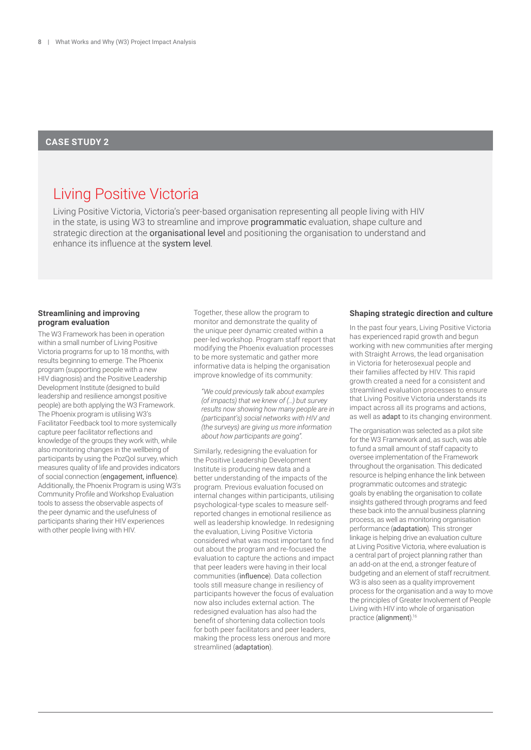# Living Positive Victoria

Living Positive Victoria, Victoria's peer-based organisation representing all people living with HIV in the state, is using W3 to streamline and improve programmatic evaluation, shape culture and strategic direction at the organisational level and positioning the organisation to understand and enhance its influence at the system level.

#### **Streamlining and improving program evaluation**

The W3 Framework has been in operation within a small number of Living Positive Victoria programs for up to 18 months, with results beginning to emerge. The Phoenix program (supporting people with a new HIV diagnosis) and the Positive Leadership Development Institute (designed to build leadership and resilience amongst positive people) are both applying the W3 Framework. The Phoenix program is utilising W3's Facilitator Feedback tool to more systemically capture peer facilitator reflections and knowledge of the groups they work with, while also monitoring changes in the wellbeing of participants by using the PozQol survey, which measures quality of life and provides indicators of social connection (engagement, influence). Additionally, the Phoenix Program is using W3's Community Profile and Workshop Evaluation tools to assess the observable aspects of the peer dynamic and the usefulness of participants sharing their HIV experiences with other people living with HIV.

Together, these allow the program to monitor and demonstrate the quality of the unique peer dynamic created within a peer-led workshop. Program staff report that modifying the Phoenix evaluation processes to be more systematic and gather more informative data is helping the organisation improve knowledge of its community:

*"We could previously talk about examples (of impacts) that we knew of (…) but survey results now showing how many people are in (participant's) social networks with HIV and (the surveys) are giving us more information about how participants are going".*

Similarly, redesigning the evaluation for the Positive Leadership Development Institute is producing new data and a better understanding of the impacts of the program. Previous evaluation focused on internal changes within participants, utilising psychological-type scales to measure selfreported changes in emotional resilience as well as leadership knowledge. In redesigning the evaluation, Living Positive Victoria considered what was most important to find out about the program and re-focused the evaluation to capture the actions and impact that peer leaders were having in their local communities (influence). Data collection tools still measure change in resiliency of participants however the focus of evaluation now also includes external action. The redesigned evaluation has also had the benefit of shortening data collection tools for both peer facilitators and peer leaders, making the process less onerous and more streamlined (adaptation).

#### **Shaping strategic direction and culture**

In the past four years, Living Positive Victoria has experienced rapid growth and begun working with new communities after merging with Straight Arrows, the lead organisation in Victoria for heterosexual people and their families affected by HIV. This rapid growth created a need for a consistent and streamlined evaluation processes to ensure that Living Positive Victoria understands its impact across all its programs and actions, as well as adapt to its changing environment.

The organisation was selected as a pilot site for the W3 Framework and, as such, was able to fund a small amount of staff capacity to oversee implementation of the Framework throughout the organisation. This dedicated resource is helping enhance the link between programmatic outcomes and strategic goals by enabling the organisation to collate insights gathered through programs and feed these back into the annual business planning process, as well as monitoring organisation performance (adaptation). This stronger linkage is helping drive an evaluation culture at Living Positive Victoria, where evaluation is a central part of project planning rather than an add-on at the end, a stronger feature of budgeting and an element of staff recruitment. W<sub>3</sub> is also seen as a quality improvement process for the organisation and a way to move the principles of Greater Involvement of People Living with HIV into whole of organisation practice (alignment).<sup>16</sup>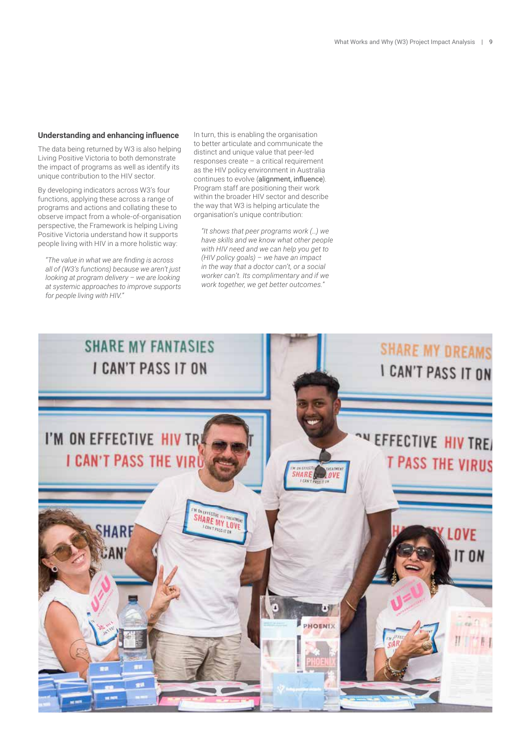### **Understanding and enhancing influence**

The data being returned by W3 is also helping Living Positive Victoria to both demonstrate the impact of programs as well as identify its unique contribution to the HIV sector.

By developing indicators across W3's four functions, applying these across a range of programs and actions and collating these to observe impact from a whole-of-organisation perspective, the Framework is helping Living Positive Victoria understand how it supports people living with HIV in a more holistic way:

*"The value in what we are finding is across all of (W3's functions) because we aren't just looking at program delivery – we are looking at systemic approaches to improve supports for people living with HIV."* 

In turn, this is enabling the organisation to better articulate and communicate the distinct and unique value that peer-led responses create – a critical requirement as the HIV policy environment in Australia continues to evolve (alignment, influence). Program staff are positioning their work within the broader HIV sector and describe the way that W3 is helping articulate the organisation's unique contribution:

*"It shows that peer programs work (…) we have skills and we know what other people with HIV need and we can help you get to (HIV policy goals) – we have an impact in the way that a doctor can't, or a social worker can't. Its complimentary and if we work together, we get better outcomes."*

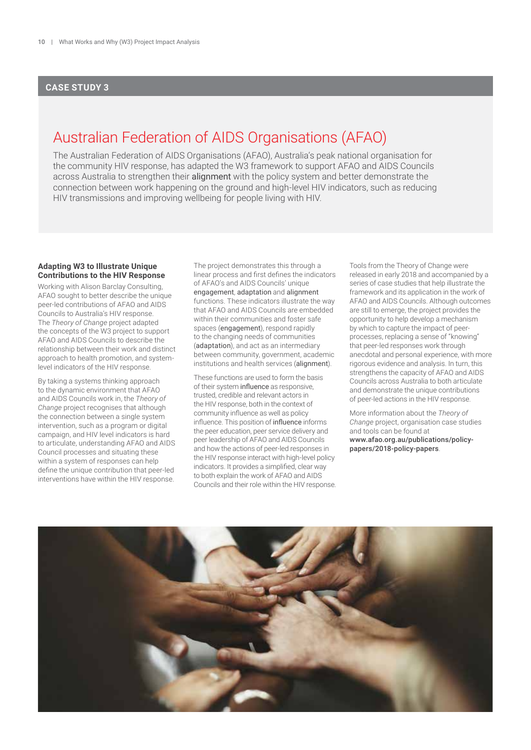# Australian Federation of AIDS Organisations (AFAO)

The Australian Federation of AIDS Organisations (AFAO), Australia's peak national organisation for the community HIV response, has adapted the W3 framework to support AFAO and AIDS Councils across Australia to strengthen their alignment with the policy system and better demonstrate the connection between work happening on the ground and high-level HIV indicators, such as reducing HIV transmissions and improving wellbeing for people living with HIV.

#### **Adapting W3 to Illustrate Unique Contributions to the HIV Response**

Working with Alison Barclay Consulting, AFAO sought to better describe the unique peer-led contributions of AFAO and AIDS Councils to Australia's HIV response. The *Theory of Change* project adapted the concepts of the W3 project to support AFAO and AIDS Councils to describe the relationship between their work and distinct approach to health promotion, and systemlevel indicators of the HIV response.

By taking a systems thinking approach to the dynamic environment that AFAO and AIDS Councils work in, the *Theory of Change* project recognises that although the connection between a single system intervention, such as a program or digital campaign, and HIV level indicators is hard to articulate, understanding AFAO and AIDS Council processes and situating these within a system of responses can help define the unique contribution that peer-led interventions have within the HIV response.

The project demonstrates this through a linear process and first defines the indicators of AFAO's and AIDS Councils' unique engagement, adaptation and alignment functions. These indicators illustrate the way that AFAO and AIDS Councils are embedded within their communities and foster safe spaces (**engagement**), respond rapidly to the changing needs of communities (adaptation), and act as an intermediary between community, government, academic institutions and health services (alignment).

These functions are used to form the basis of their system influence as responsive, trusted, credible and relevant actors in the HIV response, both in the context of community influence as well as policy influence. This position of influence informs the peer education, peer service delivery and peer leadership of AFAO and AIDS Councils and how the actions of peer-led responses in the HIV response interact with high-level policy indicators. It provides a simplified, clear way to both explain the work of AFAO and AIDS Councils and their role within the HIV response.

Tools from the Theory of Change were released in early 2018 and accompanied by a series of case studies that help illustrate the framework and its application in the work of AFAO and AIDS Councils. Although outcomes are still to emerge, the project provides the opportunity to help develop a mechanism by which to capture the impact of peerprocesses, replacing a sense of "knowing" that peer-led responses work through anecdotal and personal experience, with more rigorous evidence and analysis. In turn, this strengthens the capacity of AFAO and AIDS Councils across Australia to both articulate and demonstrate the unique contributions of peer-led actions in the HIV response.

More information about the *Theory of Change* project, organisation case studies and tools can be found at www.afao.org.au/publications/policypapers/2018-policy-papers.

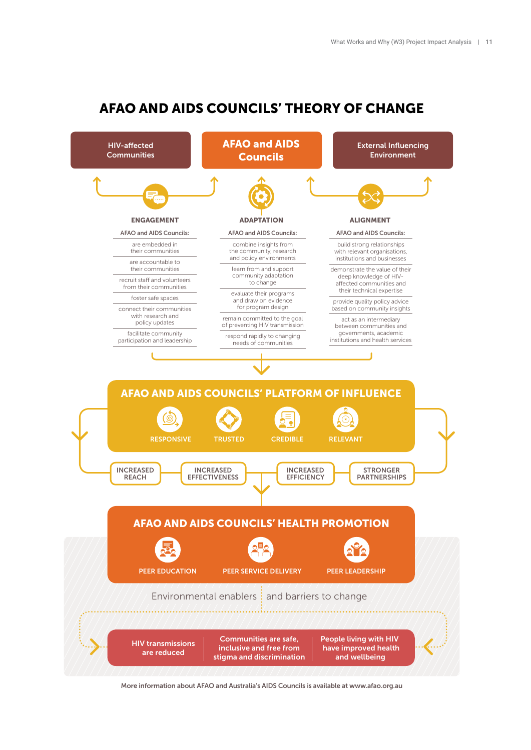# AFAO AND AIDS COUNCILS' THEORY OF CHANGE



More information about AFAO and Australia's AIDS Councils is available at www.afao.org.au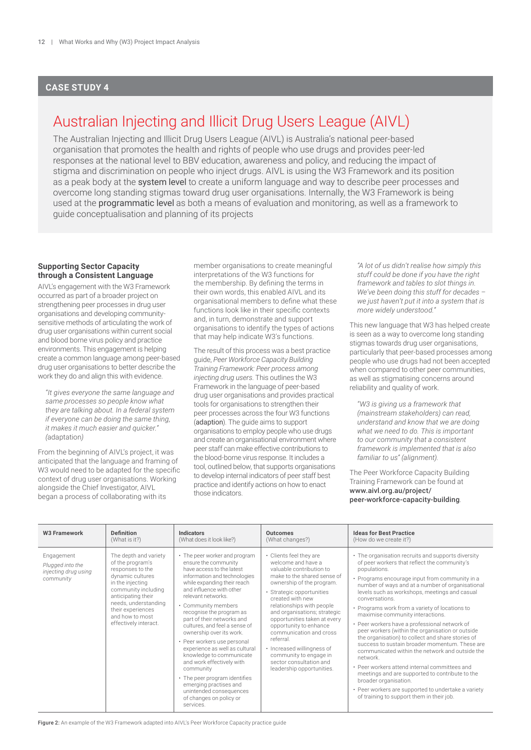# Australian Injecting and Illicit Drug Users League (AIVL)

The Australian Injecting and Illicit Drug Users League (AIVL) is Australia's national peer-based organisation that promotes the health and rights of people who use drugs and provides peer-led responses at the national level to BBV education, awareness and policy, and reducing the impact of stigma and discrimination on people who inject drugs. AIVL is using the W3 Framework and its position as a peak body at the **system level** to create a uniform language and way to describe peer processes and overcome long standing stigmas toward drug user organisations. Internally, the W3 Framework is being used at the programmatic level as both a means of evaluation and monitoring, as well as a framework to guide conceptualisation and planning of its projects

### **Supporting Sector Capacity through a Consistent Language**

AIVL's engagement with the W3 Framework occurred as part of a broader project on strengthening peer processes in drug user organisations and developing communitysensitive methods of articulating the work of drug user organisations within current social and blood borne virus policy and practice environments. This engagement is helping create a common language among peer-based drug user organisations to better describe the work they do and align this with evidence.

*"It gives everyone the same language and same processes so people know what they are talking about. In a federal system if everyone can be doing the same thing, it makes it much easier and quicker." (*adaptation*)*

From the beginning of AIVL's project, it was anticipated that the language and framing of W3 would need to be adapted for the specific context of drug user organisations. Working alongside the Chief Investigator, AIVL began a process of collaborating with its

member organisations to create meaningful interpretations of the W3 functions for the membership. By defining the terms in their own words, this enabled AIVL and its organisational members to define what these functions look like in their specific contexts and, in turn, demonstrate and support organisations to identify the types of actions that may help indicate W3's functions.

The result of this process was a best practice guide, *Peer Workforce Capacity Building Training Framework: Peer process among injecting drug users*. This outlines the W3 Framework in the language of peer-based drug user organisations and provides practical tools for organisations to strengthen their peer processes across the four W3 functions (adaption). The guide aims to support organisations to employ people who use drugs and create an organisational environment where peer staff can make effective contributions to the blood-borne virus response. It includes a tool, outlined below, that supports organisations to develop internal indicators of peer staff best practice and identify actions on how to enact those indicators.

*"A lot of us didn't realise how simply this stuff could be done if you have the right framework and tables to slot things in. We've been doing this stuff for decades – we just haven't put it into a system that is more widely understood."*

This new language that W3 has helped create is seen as a way to overcome long standing stigmas towards drug user organisations, particularly that peer-based processes among people who use drugs had not been accepted when compared to other peer communities, as well as stigmatising concerns around reliability and quality of work.

*"W3 is giving us a framework that (mainstream stakeholders) can read, understand and know that we are doing what we need to do. This is important to our community that a consistent framework is implemented that is also familiar to us" (alignment).*

The Peer Workforce Capacity Building Training Framework can be found at www.aivl.org.au/project/ peer-workforce-capacity-building.

| <b>W3 Framework</b>                                                 | <b>Definition</b>                                                                                                                                                                                                                           | Indicators                                                                                                                                                                                                                                                                                                                                                                                                                                                                                                                                                                                                             | <b>Outcomes</b>                                                                                                                                                                                                                                                                                                                                                                                                                                                       | <b>Ideas for Best Practice</b>                                                                                                                                                                                                                                                                                                                                                                                                                                                                                                                                                                                                                                                                                                                                                                                                                                                                |
|---------------------------------------------------------------------|---------------------------------------------------------------------------------------------------------------------------------------------------------------------------------------------------------------------------------------------|------------------------------------------------------------------------------------------------------------------------------------------------------------------------------------------------------------------------------------------------------------------------------------------------------------------------------------------------------------------------------------------------------------------------------------------------------------------------------------------------------------------------------------------------------------------------------------------------------------------------|-----------------------------------------------------------------------------------------------------------------------------------------------------------------------------------------------------------------------------------------------------------------------------------------------------------------------------------------------------------------------------------------------------------------------------------------------------------------------|-----------------------------------------------------------------------------------------------------------------------------------------------------------------------------------------------------------------------------------------------------------------------------------------------------------------------------------------------------------------------------------------------------------------------------------------------------------------------------------------------------------------------------------------------------------------------------------------------------------------------------------------------------------------------------------------------------------------------------------------------------------------------------------------------------------------------------------------------------------------------------------------------|
|                                                                     | (What is it?)                                                                                                                                                                                                                               | (What does it look like?)                                                                                                                                                                                                                                                                                                                                                                                                                                                                                                                                                                                              | (What changes?)                                                                                                                                                                                                                                                                                                                                                                                                                                                       | (How do we create it?)                                                                                                                                                                                                                                                                                                                                                                                                                                                                                                                                                                                                                                                                                                                                                                                                                                                                        |
| Engagement<br>Plugged into the<br>injecting drug using<br>community | The depth and variety<br>of the program's<br>responses to the<br>dynamic cultures<br>in the injecting<br>community including<br>anticipating their<br>needs, understanding<br>their experiences<br>and how to most<br>effectively interact. | • The peer worker and program<br>ensure the community<br>have access to the latest<br>information and technologies<br>while expanding their reach<br>and influence with other<br>relevant networks.<br>• Community members<br>recognise the program as<br>part of their networks and<br>cultures, and feel a sense of<br>ownership over its work.<br>• Peer workers use personal<br>experience as well as cultural<br>knowledge to communicate<br>and work effectively with<br>community<br>• The peer program identifies<br>emerging practises and<br>unintended consequences<br>of changes on policy or<br>services. | • Clients feel they are<br>welcome and have a<br>valuable contribution to<br>make to the shared sense of<br>ownership of the program.<br>· Strategic opportunities<br>created with new<br>relationships with people<br>and organisations; strategic<br>opportunities taken at every<br>opportunity to enhance<br>communication and cross<br>referral.<br>· Increased willingness of<br>community to engage in<br>sector consultation and<br>leadership opportunities. | • The organisation recruits and supports diversity<br>of peer workers that reflect the community's<br>populations.<br>• Programs encourage input from community in a<br>number of ways and at a number of organisational<br>levels such as workshops, meetings and casual<br>conversations.<br>• Programs work from a variety of locations to<br>maximise community interactions.<br>• Peer workers have a professional network of<br>peer workers (within the organisation or outside<br>the organisation) to collect and share stories of<br>success to sustain broader momentum. These are<br>communicated within the network and outside the<br>network.<br>• Peer workers attend internal committees and<br>meetings and are supported to contribute to the<br>broader organisation.<br>• Peer workers are supported to undertake a variety<br>of training to support them in their job. |

Figure 2: An example of the W3 Framework adapted into AIVL's Peer Workforce Capacity practice guide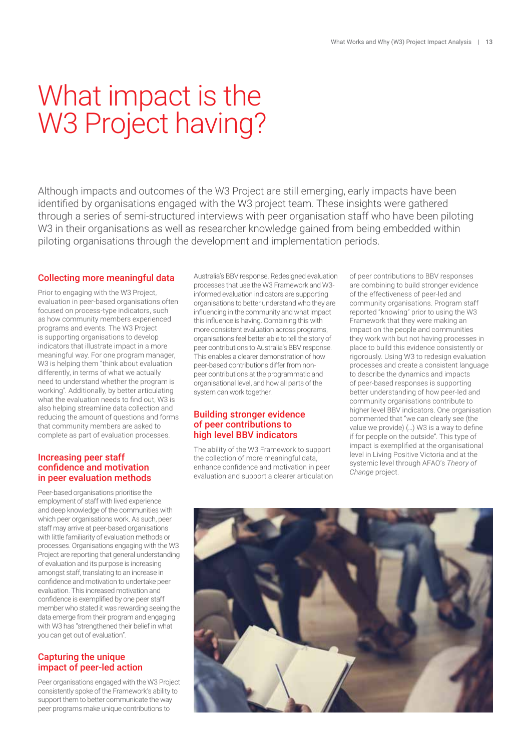# What impact is the W3 Project having?

Although impacts and outcomes of the W3 Project are still emerging, early impacts have been identified by organisations engaged with the W3 project team. These insights were gathered through a series of semi-structured interviews with peer organisation staff who have been piloting W<sub>3</sub> in their organisations as well as researcher knowledge gained from being embedded within piloting organisations through the development and implementation periods.

### Collecting more meaningful data

Prior to engaging with the W3 Project, evaluation in peer-based organisations often focused on process-type indicators, such as how community members experienced programs and events. The W3 Project is supporting organisations to develop indicators that illustrate impact in a more meaningful way. For one program manager, W3 is helping them "think about evaluation differently, in terms of what we actually need to understand whether the program is working". Additionally, by better articulating what the evaluation needs to find out, W3 is also helping streamline data collection and reducing the amount of questions and forms that community members are asked to complete as part of evaluation processes.

### Increasing peer staff confidence and motivation in peer evaluation methods

Peer-based organisations prioritise the employment of staff with lived experience and deep knowledge of the communities with which peer organisations work. As such, peer staff may arrive at peer-based organisations with little familiarity of evaluation methods or processes. Organisations engaging with the W3 Project are reporting that general understanding of evaluation and its purpose is increasing amongst staff, translating to an increase in confidence and motivation to undertake peer evaluation. This increased motivation and confidence is exemplified by one peer staff member who stated it was rewarding seeing the data emerge from their program and engaging with W3 has "strengthened their belief in what you can get out of evaluation".

# Capturing the unique impact of peer-led action

Peer organisations engaged with the W3 Project consistently spoke of the Framework's ability to support them to better communicate the way peer programs make unique contributions to

Australia's BBV response. Redesigned evaluation processes that use the W3 Framework and W3 informed evaluation indicators are supporting organisations to better understand who they are influencing in the community and what impact this influence is having. Combining this with more consistent evaluation across programs, organisations feel better able to tell the story of peer contributions to Australia's BBV response. This enables a clearer demonstration of how peer-based contributions differ from nonpeer contributions at the programmatic and organisational level, and how all parts of the system can work together.

## Building stronger evidence of peer contributions to high level BBV indicators

The ability of the W3 Framework to support the collection of more meaningful data, enhance confidence and motivation in peer evaluation and support a clearer articulation

of peer contributions to BBV responses are combining to build stronger evidence of the effectiveness of peer-led and community organisations. Program staff reported "knowing" prior to using the W3 Framework that they were making an impact on the people and communities they work with but not having processes in place to build this evidence consistently or rigorously. Using W3 to redesign evaluation processes and create a consistent language to describe the dynamics and impacts of peer-based responses is supporting better understanding of how peer-led and community organisations contribute to higher level BBV indicators. One organisation commented that "we can clearly see (the value we provide) (…) W3 is a way to define if for people on the outside". This type of impact is exemplified at the organisational level in Living Positive Victoria and at the systemic level through AFAO's *Theory of Change* project.

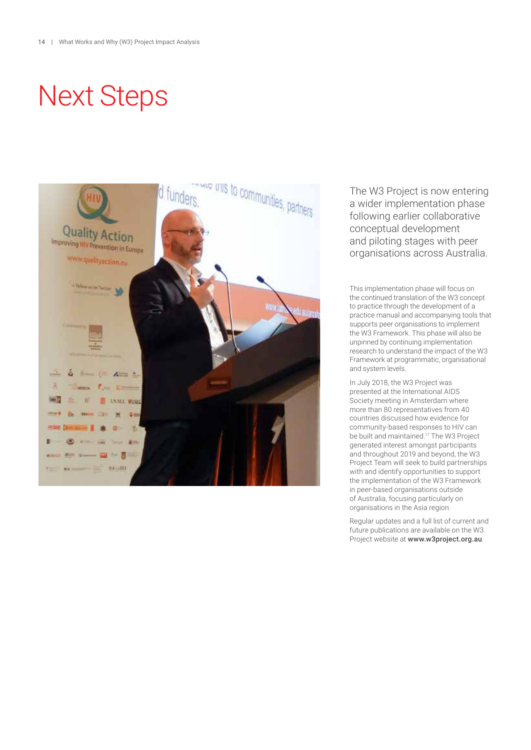# Next Steps



The W3 Project is now entering a wider implementation phase following earlier collaborative conceptual development and piloting stages with peer organisations across Australia.

This implementation phase will focus on the continued translation of the W3 concept to practice through the development of a practice manual and accompanying tools that supports peer organisations to implement the W3 Framework. This phase will also be unpinned by continuing implementation research to understand the impact of the W3 Framework at programmatic, organisational and system levels.

In July 2018, the W3 Project was presented at the International AIDS Society meeting in Amsterdam where more than 80 representatives from 40 countries discussed how evidence for community-based responses to HIV can be built and maintained.17 The W3 Project generated interest amongst participants and throughout 2019 and beyond, the W3 Project Team will seek to build partnerships with and identify opportunities to support the implementation of the W3 Framework in peer-based organisations outside of Australia, focusing particularly on organisations in the Asia region.

Regular updates and a full list of current and future publications are available on the W3 Project website at www.w3project.org.au.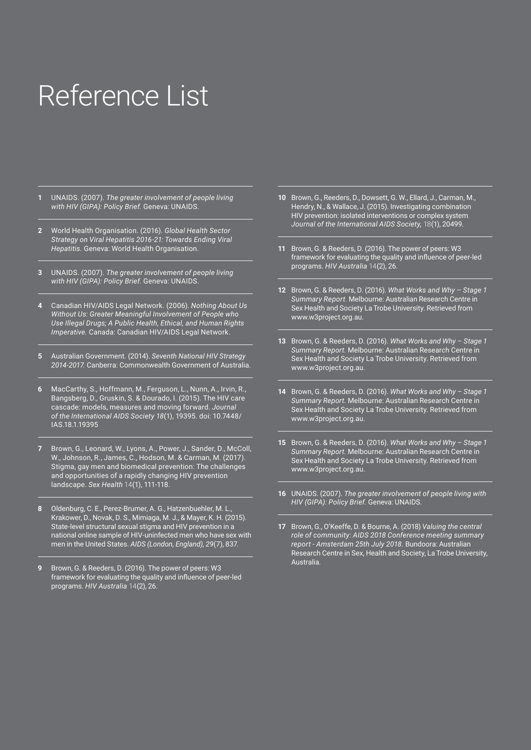# Reference List

- **1** UNAIDS. (2007). *The greater involvement of people living with HIV (GIPA): Policy Brief.* Geneva: UNAIDS.
- **2** World Health Organisation. (2016). *Global Health Sector Strategy on Viral Hepatitis 2016-21: Towards Ending Viral Hepatitis.* Geneva: World Health Organisation.
- **3** UNAIDS. (2007). *The greater involvement of people living with HIV (GIPA): Policy Brief.* Geneva: UNAIDS.
- **4** Canadian HIV/AIDS Legal Network. (2006). *Nothing About Us Without Us: Greater Meaningful Involvement of People who Use Illegal Drugs; A Public Health, Ethical, and Human Rights Imperative.* Canada: Canadian HIV/AIDS Legal Network.
- **5** Australian Government. (2014). *Seventh National HIV Strategy 2014-2017.* Canberra: Commonwealth Government of Australia.
- **6** MacCarthy, S., Hoffmann, M., Ferguson, L., Nunn, A., Irvin, R., Bangsberg, D., Gruskin, S. & Dourado, I. (2015). The HIV care cascade: models, measures and moving forward. *Journal of the International AIDS Society 18*(1), 19395. doi: 10.7448/ IAS.18.1.19395
- **7** Brown, G., Leonard, W., Lyons, A., Power, J., Sander, D., McColl, W., Johnson, R., James, C., Hodson, M. & Carman, M. (2017). Stigma, gay men and biomedical prevention: The challenges and opportunities of a rapidly changing HIV prevention landscape. *Sex Health* 14(1), 111-118.
- **8** Oldenburg, C. E., Perez-Brumer, A. G., Hatzenbuehler, M. L., Krakower, D., Novak, D. S., Mimiaga, M. J., & Mayer, K. H. (2015). State-level structural sexual stigma and HIV prevention in a national online sample of HIV-uninfected men who have sex with men in the United States. *AIDS (London, England), 29*(7), 837.
- **9** Brown, G. & Reeders, D. (2016). The power of peers: W3 framework for evaluating the quality and influence of peer-led programs. *HIV Australia* 14(2), 26.
- **10** Brown, G., Reeders, D., Dowsett, G. W., Ellard, J., Carman, M., Hendry, N., & Wallace, J. (2015). Investigating combination HIV prevention: isolated interventions or complex system. *Journal of the International AIDS Society,* 18(1), 20499.
- **11** Brown, G. & Reeders, D. (2016). The power of peers: W3 framework for evaluating the quality and influence of peer-led programs. *HIV Australia* 14(2), 26.
- **12** Brown, G. & Reeders, D. (2016). *What Works and Why Stage 1 Summary Report*. Melbourne: Australian Research Centre in Sex Health and Society La Trobe University. Retrieved from www.w3project.org.au.
- **13** Brown, G. & Reeders, D. (2016). *What Works and Why Stage 1 Summary Report.* Melbourne: Australian Research Centre in Sex Health and Society La Trobe University. Retrieved from www.w3project.org.au.
- **14** Brown, G. & Reeders, D. (2016). *What Works and Why Stage 1 Summary Report.* Melbourne: Australian Research Centre in Sex Health and Society La Trobe University. Retrieved from www.w3project.org.au.
- **15** Brown, G. & Reeders, D. (2016). *What Works and Why Stage 1 Summary Report.* Melbourne: Australian Research Centre in Sex Health and Society La Trobe University. Retrieved from www.w3project.org.au.
- **16** UNAIDS. (2007). *The greater involvement of people living with HIV (GIPA): Policy Brief.* Geneva: UNAIDS.
- **17** Brown, G., O'Keeffe, D. & Bourne, A. (2018) *Valuing the central role of community: AIDS 2018 Conference meeting summary report - Amsterdam 25th July 2018.* Bundoora: Australian Research Centre in Sex, Health and Society, La Trobe University, Australia.